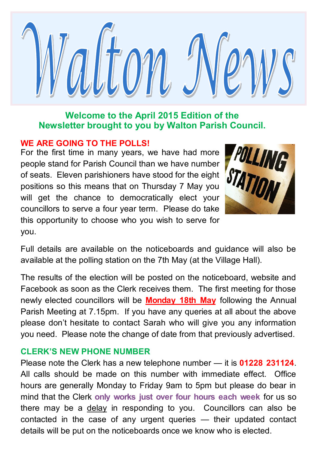

### **Welcome to the April 2015 Edition of the Newsletter brought to you by Walton Parish Council.**

### **WE ARE GOING TO THE POLLS!**

For the first time in many years, we have had more people stand for Parish Council than we have number of seats. Eleven parishioners have stood for the eight positions so this means that on Thursday 7 May you will get the chance to democratically elect your councillors to serve a four year term. Please do take this opportunity to choose who you wish to serve for you.



Full details are available on the noticeboards and guidance will also be available at the polling station on the 7th May (at the Village Hall).

The results of the election will be posted on the noticeboard, website and Facebook as soon as the Clerk receives them. The first meeting for those newly elected councillors will be **Monday 18th May** following the Annual Parish Meeting at 7.15pm. If you have any queries at all about the above please don't hesitate to contact Sarah who will give you any information you need. Please note the change of date from that previously advertised.

### **CLERK'S NEW PHONE NUMBER**

Please note the Clerk has a new telephone number — it is **01228 231124**. All calls should be made on this number with immediate effect. Office hours are generally Monday to Friday 9am to 5pm but please do bear in mind that the Clerk **only works just over four hours each week** for us so there may be a delay in responding to you. Councillors can also be contacted in the case of any urgent queries — their updated contact details will be put on the noticeboards once we know who is elected.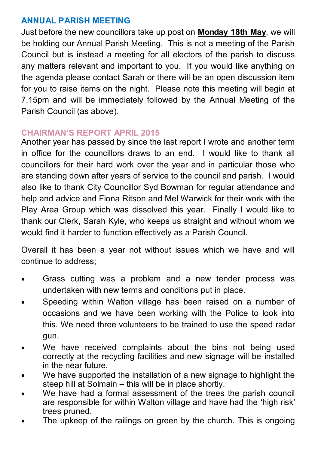## **ANNUAL PARISH MEETING**

Just before the new councillors take up post on **Monday 18th May**, we will be holding our Annual Parish Meeting. This is not a meeting of the Parish Council but is instead a meeting for all electors of the parish to discuss any matters relevant and important to you. If you would like anything on the agenda please contact Sarah or there will be an open discussion item for you to raise items on the night. Please note this meeting will begin at 7.15pm and will be immediately followed by the Annual Meeting of the Parish Council (as above).

### **CHAIRMAN'S REPORT APRIL 2015**

Another year has passed by since the last report I wrote and another term in office for the councillors draws to an end. I would like to thank all councillors for their hard work over the year and in particular those who are standing down after years of service to the council and parish. I would also like to thank City Councillor Syd Bowman for regular attendance and help and advice and Fiona Ritson and Mel Warwick for their work with the Play Area Group which was dissolved this year. Finally I would like to thank our Clerk, Sarah Kyle, who keeps us straight and without whom we would find it harder to function effectively as a Parish Council.

Overall it has been a year not without issues which we have and will continue to address;

- Grass cutting was a problem and a new tender process was undertaken with new terms and conditions put in place.
- Speeding within Walton village has been raised on a number of occasions and we have been working with the Police to look into this. We need three volunteers to be trained to use the speed radar gun.
- We have received complaints about the bins not being used correctly at the recycling facilities and new signage will be installed in the near future.
- We have supported the installation of a new signage to highlight the steep hill at Solmain – this will be in place shortly.
- We have had a formal assessment of the trees the parish council are responsible for within Walton village and have had the 'high risk' trees pruned.
- The upkeep of the railings on green by the church. This is ongoing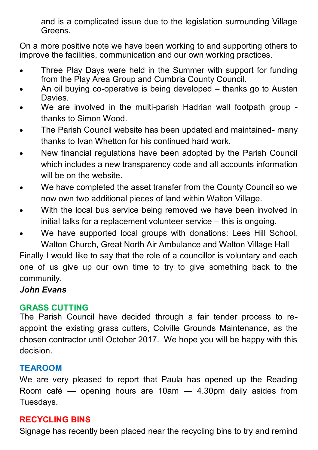and is a complicated issue due to the legislation surrounding Village Greens.

On a more positive note we have been working to and supporting others to improve the facilities, communication and our own working practices.

- Three Play Days were held in the Summer with support for funding from the Play Area Group and Cumbria County Council.
- An oil buying co-operative is being developed thanks go to Austen **Davies**
- We are involved in the multi-parish Hadrian wall footpath group thanks to Simon Wood.
- The Parish Council website has been updated and maintained-many thanks to Ivan Whetton for his continued hard work.
- New financial regulations have been adopted by the Parish Council which includes a new transparency code and all accounts information will be on the website.
- We have completed the asset transfer from the County Council so we now own two additional pieces of land within Walton Village.
- With the local bus service being removed we have been involved in initial talks for a replacement volunteer service – this is ongoing.
- We have supported local groups with donations: Lees Hill School, Walton Church, Great North Air Ambulance and Walton Village Hall

Finally I would like to say that the role of a councillor is voluntary and each one of us give up our own time to try to give something back to the community.

# *John Evans*

# **GRASS CUTTING**

The Parish Council have decided through a fair tender process to reappoint the existing grass cutters, Colville Grounds Maintenance, as the chosen contractor until October 2017. We hope you will be happy with this decision.

# **TEAROOM**

We are very pleased to report that Paula has opened up the Reading Room café — opening hours are 10am — 4.30pm daily asides from Tuesdays.

# **RECYCLING BINS**

Signage has recently been placed near the recycling bins to try and remind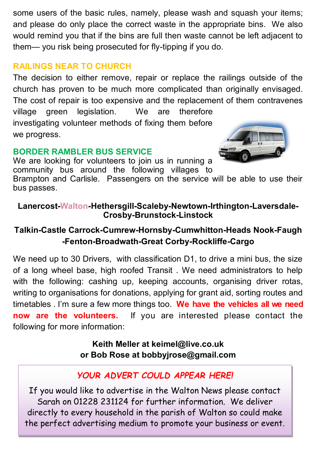some users of the basic rules, namely, please wash and squash your items; and please do only place the correct waste in the appropriate bins. We also would remind you that if the bins are full then waste cannot be left adjacent to them— you risk being prosecuted for fly-tipping if you do.

## **RAILINGS NEAR TO CHURCH**

The decision to either remove, repair or replace the railings outside of the church has proven to be much more complicated than originally envisaged. The cost of repair is too expensive and the replacement of them contravenes village green legislation. We are therefore investigating volunteer methods of fixing them before we progress.

## **BORDER RAMBLER BUS SERVICE**

We are looking for volunteers to join us in running a community bus around the following villages to



Brampton and Carlisle. Passengers on the service will be able to use their bus passes.

## **Lanercost-Walton-Hethersgill-Scaleby-Newtown-Irthington-Laversdale-Crosby-Brunstock-Linstock**

# **Talkin-Castle Carrock-Cumrew-Hornsby-Cumwhitton-Heads Nook-Faugh -Fenton-Broadwath-Great Corby-Rockliffe-Cargo**

We need up to 30 Drivers, with classification D1, to drive a mini bus, the size of a long wheel base, high roofed Transit . We need administrators to help with the following: cashing up, keeping accounts, organising driver rotas, writing to organisations for donations, applying for grant aid, sorting routes and timetables . I'm sure a few more things too. **We have the vehicles all we need now are the volunteers.** If you are interested please contact the following for more information:

> **Keith Meller at keimel@live.co.uk or Bob Rose at bobbyjrose@gmail.com**

# *YOUR ADVERT COULD APPEAR HERE!*

If you would like to advertise in the Walton News please contact Sarah on 01228 231124 for further information. We deliver directly to every household in the parish of Walton so could make the perfect advertising medium to promote your business or event.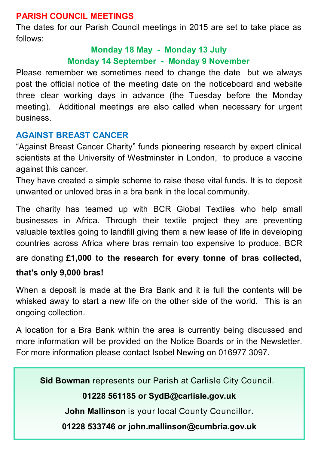## **PARISH COUNCIL MEETINGS**

The dates for our Parish Council meetings in 2015 are set to take place as follows:

# **Monday 18 May - Monday 13 July Monday 14 September - Monday 9 November**

Please remember we sometimes need to change the date but we always post the official notice of the meeting date on the noticeboard and website three clear working days in advance (the Tuesday before the Monday meeting). Additional meetings are also called when necessary for urgent business.

# **AGAINST BREAST CANCER**

"Against Breast Cancer Charity" funds pioneering research by expert clinical scientists at the University of Westminster in London, to produce a vaccine against this cancer.

They have created a simple scheme to raise these vital funds. It is to deposit unwanted or unloved bras in a bra bank in the local community.

The charity has teamed up with BCR Global Textiles who help small businesses in Africa. Through their textile project they are preventing valuable textiles going to landfill giving them a new lease of life in developing countries across Africa where bras remain too expensive to produce. BCR

are donating £**1,000 to the research for every tonne of bras collected,** 

### **that's only 9,000 bras!**

When a deposit is made at the Bra Bank and it is full the contents will be whisked away to start a new life on the other side of the world. This is an ongoing collection.

A location for a Bra Bank within the area is currently being discussed and more information will be provided on the Notice Boards or in the Newsletter. For more information please contact Isobel Newing on 016977 3097.

**Sid Bowman** represents our Parish at Carlisle City Council.

### **01228 561185 or SydB@carlisle.gov.uk**

**John Mallinson** is your local County Councillor.

**01228 533746 or john.mallinson@cumbria.gov.uk**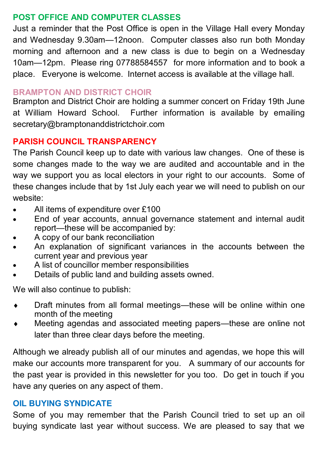### **POST OFFICE AND COMPUTER CLASSES**

Just a reminder that the Post Office is open in the Village Hall every Monday and Wednesday 9.30am—12noon. Computer classes also run both Monday morning and afternoon and a new class is due to begin on a Wednesday 10am—12pm. Please ring 07788584557 for more information and to book a place. Everyone is welcome. Internet access is available at the village hall.

#### **BRAMPTON AND DISTRICT CHOIR**

Brampton and District Choir are holding a summer concert on Friday 19th June at William Howard School. Further information is available by emailing secretary@bramptonanddistrictchoir.com

### **PARISH COUNCIL TRANSPARENCY**

The Parish Council keep up to date with various law changes. One of these is some changes made to the way we are audited and accountable and in the way we support you as local electors in your right to our accounts. Some of these changes include that by 1st July each year we will need to publish on our website:

- All items of expenditure over £100
- End of year accounts, annual governance statement and internal audit report—these will be accompanied by:
- A copy of our bank reconciliation
- An explanation of significant variances in the accounts between the current year and previous year
- A list of councillor member responsibilities
- Details of public land and building assets owned.

We will also continue to publish:

- Draft minutes from all formal meetings—these will be online within one month of the meeting
- Meeting agendas and associated meeting papers—these are online not later than three clear days before the meeting.

Although we already publish all of our minutes and agendas, we hope this will make our accounts more transparent for you. A summary of our accounts for the past year is provided in this newsletter for you too. Do get in touch if you have any queries on any aspect of them.

#### **OIL BUYING SYNDICATE**

Some of you may remember that the Parish Council tried to set up an oil buying syndicate last year without success. We are pleased to say that we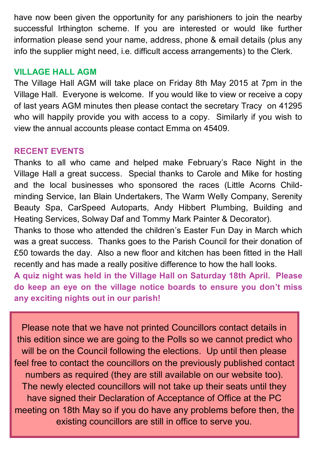have now been given the opportunity for any parishioners to join the nearby successful Irthington scheme. If you are interested or would like further information please send your name, address, phone & email details (plus any info the supplier might need, i.e. difficult access arrangements) to the Clerk.

### **VILLAGE HALL AGM**

The Village Hall AGM will take place on Friday 8th May 2015 at 7pm in the Village Hall. Everyone is welcome. If you would like to view or receive a copy of last years AGM minutes then please contact the secretary Tracy on 41295 who will happily provide you with access to a copy. Similarly if you wish to view the annual accounts please contact Emma on 45409.

### **RECENT EVENTS**

Thanks to all who came and helped make February's Race Night in the Village Hall a great success. Special thanks to Carole and Mike for hosting and the local businesses who sponsored the races (Little Acorns Childminding Service, Ian Blain Undertakers, The Warm Welly Company, Serenity Beauty Spa, CarSpeed Autoparts, Andy Hibbert Plumbing, Building and Heating Services, Solway Daf and Tommy Mark Painter & Decorator).

Thanks to those who attended the children's Easter Fun Day in March which was a great success. Thanks goes to the Parish Council for their donation of £50 towards the day. Also a new floor and kitchen has been fitted in the Hall recently and has made a really positive difference to how the hall looks.

**A quiz night was held in the Village Hall on Saturday 18th April. Please do keep an eye on the village notice boards to ensure you don't miss any exciting nights out in our parish!**

Please note that we have not printed Councillors contact details in this edition since we are going to the Polls so we cannot predict who will be on the Council following the elections. Up until then please feel free to contact the councillors on the previously published contact numbers as required (they are still available on our website too). The newly elected councillors will not take up their seats until they have signed their Declaration of Acceptance of Office at the PC meeting on 18th May so if you do have any problems before then, the existing councillors are still in office to serve you.